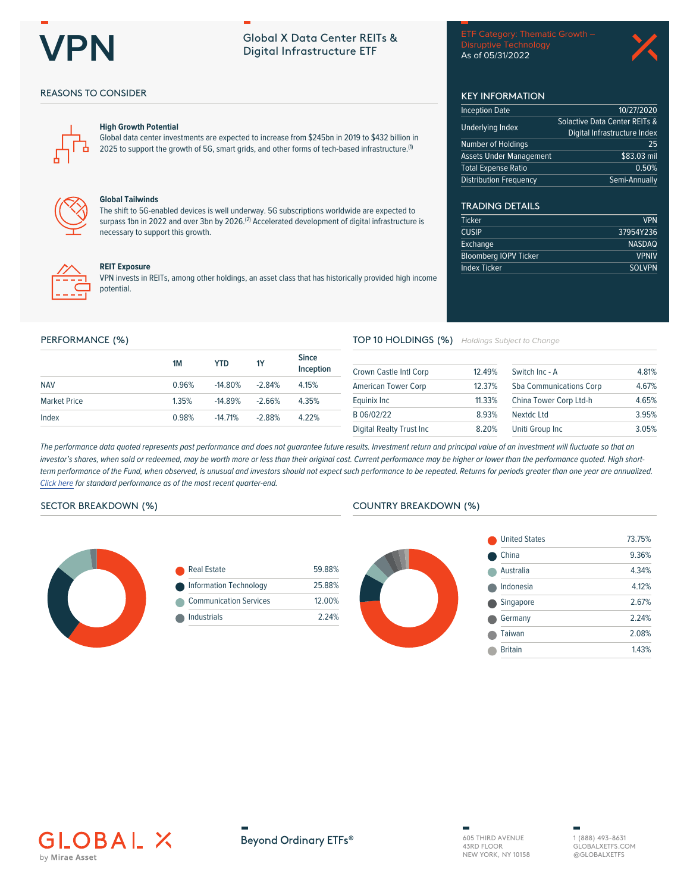

# **Global X Data Center REITs &** Digital Infrastructure ETF

Disruptive Technology As of 05/31/2022

**KEY INFORMATION Inception Date** 

**Underlying Index** 

Number of Holdings

**Total Expense Ratio Distribution Frequency** 

**TRADING DETAILS** 

**Bloomberg IOPV Ticker** 

Ticker

**CUSIP** 

Exchange

**Index Ticker** 

**Assets Under Management** 



10/27/2020

 $\frac{1}{$83.03}$  mil

Semi-Annually

 $0.50%$ 

**VPN** 

37954Y236

**NASDAQ** 

**SOLVPN** 

**VPNIV** 

 $\overline{25}$ 

Solactive Data Center REITs &

Digital Infrastructure Index

# **REASONS TO CONSIDER**



## **High Growth Potential**

Global data center investments are expected to increase from \$245bn in 2019 to \$432 billion in 2025 to support the growth of 5G, smart grids, and other forms of tech-based infrastructure.<sup>(1)</sup>



## **Global Tailwinds**

The shift to 5G-enabled devices is well underway. 5G subscriptions worldwide are expected to surpass 1bn in 2022 and over 3bn by 2026.<sup>(2)</sup> Accelerated development of digital infrastructure is necessary to support this growth.



### **REIT Exposure**

VPN invests in REITs, among other holdings, an asset class that has historically provided high income potential.

#### PERFORMANCE (%)

|                     | 1M    | YTD        | <b>1Y</b> | <b>Since</b><br>Inception |
|---------------------|-------|------------|-----------|---------------------------|
| <b>NAV</b>          | 0.96% | $-14.80\%$ | $-2.84%$  | 4.15%                     |
| <b>Market Price</b> | 1.35% | $-14.89%$  | $-2.66%$  | 4.35%                     |
| Index               | 0.98% | $-14.71\%$ | $-2.88%$  | 4.22%                     |

# TOP 10 HOLDINGS (%) Holdings Subject to Change

| Crown Castle Intl Corp     | 12.49% | Switch Inc - A                 | 4.81% |
|----------------------------|--------|--------------------------------|-------|
| <b>American Tower Corp</b> | 12.37% | <b>Sba Communications Corp</b> |       |
| Equinix Inc                | 11.33% | China Tower Corp Ltd-h         | 4.65% |
| B 06/02/22                 | 8.93%  | <b>Nextdc Ltd</b>              | 3.95% |
| Digital Realty Trust Inc   | 8.20%  | Uniti Group Inc                | 3.05% |

The performance data quoted represents past performance and does not guarantee future results. Investment return and principal value of an investment will fluctuate so that an investor's shares, when sold or redeemed, may be worth more or less than their original cost. Current performance may be higher or lower than the performance quoted. High shortterm performance of the Fund, when observed, is unusual and investors should not expect such performance to be repeated. Returns for periods greater than one year are annualized. Click here for standard performance as of the most recent quarter-end.

## SECTOR BREAKDOWN (%)



|   | <b>Real Estate</b>            | 59.88% |
|---|-------------------------------|--------|
| œ | Information Technology        | 25.88% |
|   | <b>Communication Services</b> | 12.00% |
|   | Industrials                   | 224%   |
|   |                               |        |

# **COUNTRY BREAKDOWN (%)**







605 THIRD AVENUE 43RD FLOOR NEW YORK, NY 10158 1 (888) 493-8631 GLOBAL XETES COM @GLOBALXETFS